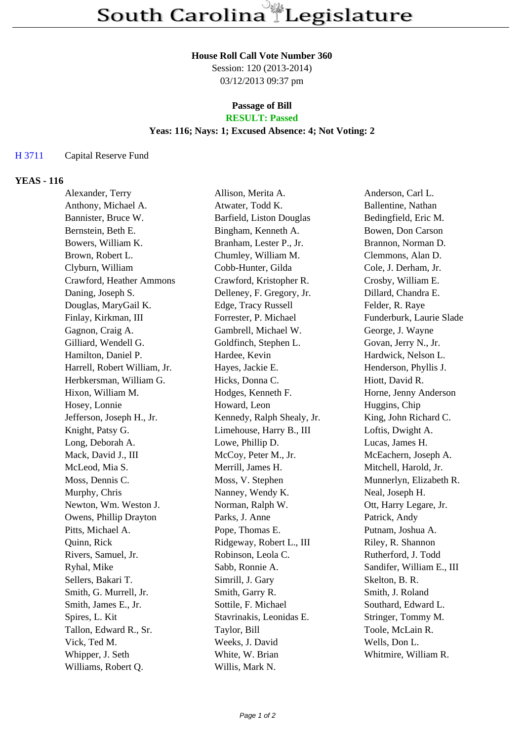## **House Roll Call Vote Number 360**

Session: 120 (2013-2014) 03/12/2013 09:37 pm

#### **Passage of Bill RESULT: Passed**

# **Yeas: 116; Nays: 1; Excused Absence: 4; Not Voting: 2**

## H 3711 Capital Reserve Fund

## **YEAS - 116**

| Alexander, Terry             | Allison, Merita A.         | Anderson, Carl L.         |
|------------------------------|----------------------------|---------------------------|
| Anthony, Michael A.          | Atwater, Todd K.           | Ballentine, Nathan        |
| Bannister, Bruce W.          | Barfield, Liston Douglas   | Bedingfield, Eric M.      |
| Bernstein, Beth E.           | Bingham, Kenneth A.        | Bowen, Don Carson         |
| Bowers, William K.           | Branham, Lester P., Jr.    | Brannon, Norman D.        |
| Brown, Robert L.             | Chumley, William M.        | Clemmons, Alan D.         |
| Clyburn, William             | Cobb-Hunter, Gilda         | Cole, J. Derham, Jr.      |
| Crawford, Heather Ammons     | Crawford, Kristopher R.    | Crosby, William E.        |
| Daning, Joseph S.            | Delleney, F. Gregory, Jr.  | Dillard, Chandra E.       |
| Douglas, MaryGail K.         | Edge, Tracy Russell        | Felder, R. Raye           |
| Finlay, Kirkman, III         | Forrester, P. Michael      | Funderburk, Laurie Slade  |
| Gagnon, Craig A.             | Gambrell, Michael W.       | George, J. Wayne          |
| Gilliard, Wendell G.         | Goldfinch, Stephen L.      | Govan, Jerry N., Jr.      |
| Hamilton, Daniel P.          | Hardee, Kevin              | Hardwick, Nelson L.       |
| Harrell, Robert William, Jr. | Hayes, Jackie E.           | Henderson, Phyllis J.     |
| Herbkersman, William G.      | Hicks, Donna C.            | Hiott, David R.           |
| Hixon, William M.            | Hodges, Kenneth F.         | Horne, Jenny Anderson     |
| Hosey, Lonnie                | Howard, Leon               | Huggins, Chip             |
| Jefferson, Joseph H., Jr.    | Kennedy, Ralph Shealy, Jr. | King, John Richard C.     |
| Knight, Patsy G.             | Limehouse, Harry B., III   | Loftis, Dwight A.         |
| Long, Deborah A.             | Lowe, Phillip D.           | Lucas, James H.           |
| Mack, David J., III          | McCoy, Peter M., Jr.       | McEachern, Joseph A.      |
| McLeod, Mia S.               | Merrill, James H.          | Mitchell, Harold, Jr.     |
| Moss, Dennis C.              | Moss, V. Stephen           | Munnerlyn, Elizabeth R.   |
| Murphy, Chris                | Nanney, Wendy K.           | Neal, Joseph H.           |
| Newton, Wm. Weston J.        | Norman, Ralph W.           | Ott, Harry Legare, Jr.    |
| Owens, Phillip Drayton       | Parks, J. Anne             | Patrick, Andy             |
| Pitts, Michael A.            | Pope, Thomas E.            | Putnam, Joshua A.         |
| Quinn, Rick                  | Ridgeway, Robert L., III   | Riley, R. Shannon         |
| Rivers, Samuel, Jr.          | Robinson, Leola C.         | Rutherford, J. Todd       |
| Ryhal, Mike                  | Sabb, Ronnie A.            | Sandifer, William E., III |
| Sellers, Bakari T.           | Simrill, J. Gary           | Skelton, B. R.            |
| Smith, G. Murrell, Jr.       | Smith, Garry R.            | Smith, J. Roland          |
| Smith, James E., Jr.         | Sottile, F. Michael        | Southard, Edward L.       |
| Spires, L. Kit               | Stavrinakis, Leonidas E.   | Stringer, Tommy M.        |
| Tallon, Edward R., Sr.       | Taylor, Bill               | Toole, McLain R.          |
| Vick, Ted M.                 | Weeks, J. David            | Wells, Don L.             |
| Whipper, J. Seth             | White, W. Brian            | Whitmire, William R.      |
| Williams, Robert Q.          | Willis, Mark N.            |                           |
|                              |                            |                           |